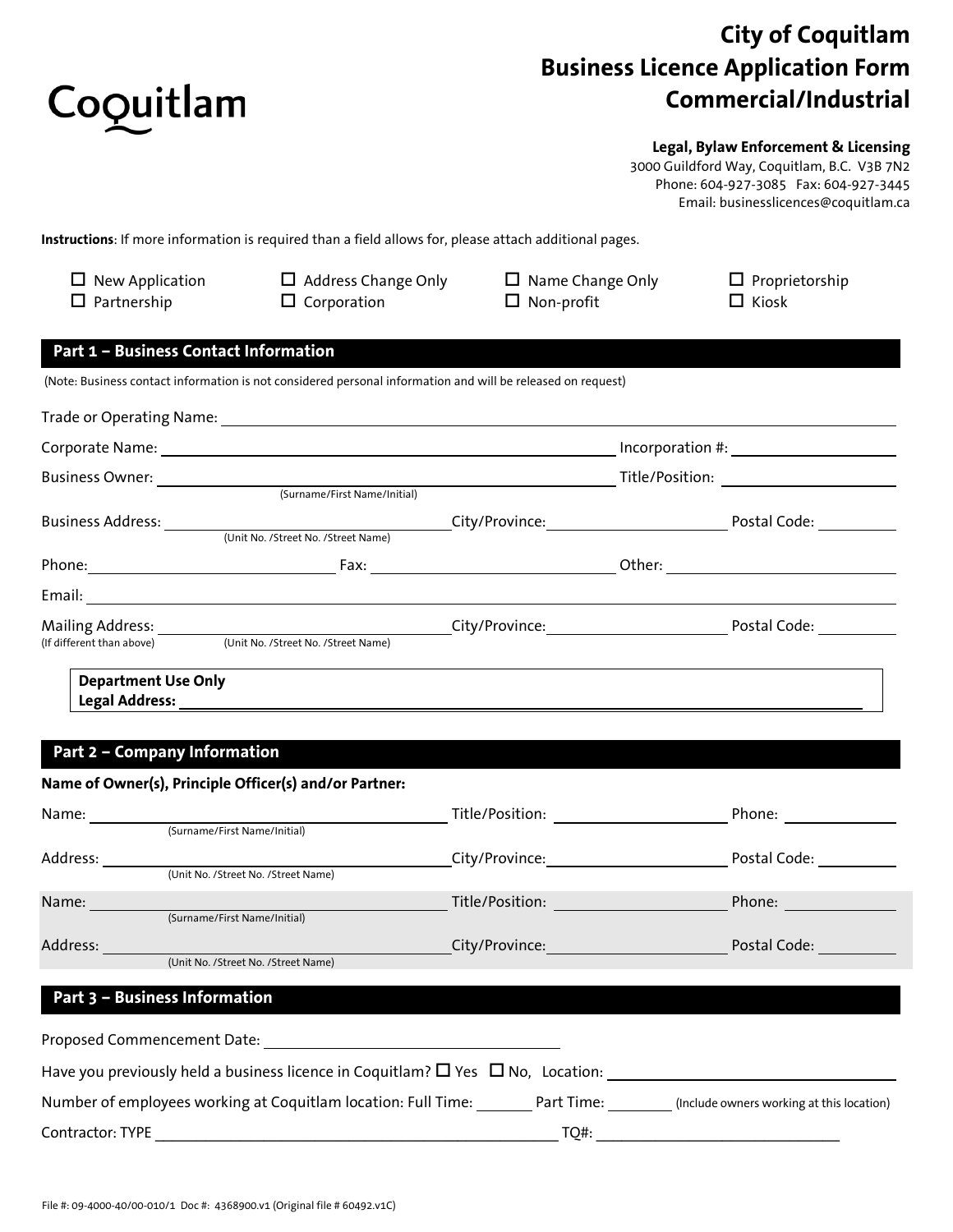

# **City of Coquitlam Business Licence Application Form Commercial/Industrial**

### **Legal, Bylaw Enforcement & Licensing**

3000 Guildford Way, Coquitlam, B.C. V3B 7N2 Phone: 604-927-3085 Fax: 604-927-3445 Email: businesslicences@coquitlam.ca

**Instructions**: If more information is required than a field allows for, please attach additional pages.

| New Application<br>Partnership               | $\Box$ Address Change Only<br>$\Box$ Corporation                                                            | $\Box$ Name Change Only<br>$\Box$ Non-profit | $\Box$ Proprietorship<br>$\Box$ Kiosk |
|----------------------------------------------|-------------------------------------------------------------------------------------------------------------|----------------------------------------------|---------------------------------------|
| <b>Part 1 - Business Contact Information</b> |                                                                                                             |                                              |                                       |
|                                              | (Note: Business contact information is not considered personal information and will be released on request) |                                              |                                       |
| Trade or Operating Name:                     |                                                                                                             |                                              |                                       |
| Corporate Name:                              |                                                                                                             | Incorporation #:                             |                                       |
| <b>Business Owner:</b>                       |                                                                                                             | Title/Position:                              |                                       |
|                                              | (Surname/First Name/Initial)                                                                                |                                              |                                       |

| Business Address:         |                                     | City/Province: |        | Postal Code: |
|---------------------------|-------------------------------------|----------------|--------|--------------|
|                           | (Unit No. /Street No. /Street Name) |                |        |              |
| Phone:                    | Fax:                                |                | Other: |              |
| Email:                    |                                     |                |        |              |
| Mailing Address:          |                                     | City/Province: |        | Postal Code: |
| (If different than above) | (Unit No. /Street No. /Street Name) |                |        |              |
|                           |                                     |                |        |              |

#### **Department Use Only Legal Address:**

# **Part 2 – Company Information**

|                  | Name of Owner(s), Principle Officer(s) and/or Partner:                                    |                                                                                                                    |                                    |
|------------------|-------------------------------------------------------------------------------------------|--------------------------------------------------------------------------------------------------------------------|------------------------------------|
| Name:            |                                                                                           |                                                                                                                    | Phone:                             |
|                  | (Surname/First Name/Initial)                                                              |                                                                                                                    |                                    |
| Address:         |                                                                                           | City/Province:                                                                                                     | Postal Code:                       |
|                  | (Unit No. /Street No. /Street Name)                                                       |                                                                                                                    |                                    |
| Name:            |                                                                                           |                                                                                                                    | Phone: <u>Andrew Maria Barness</u> |
|                  | (Surname/First Name/Initial)                                                              |                                                                                                                    |                                    |
| Address:         |                                                                                           | City/Province: <b>City/Province:</b>                                                                               | Postal Code:                       |
|                  | (Unit No. /Street No. /Street Name)                                                       |                                                                                                                    |                                    |
|                  | Part 3 - Business Information                                                             |                                                                                                                    |                                    |
|                  | Proposed Commencement Date: Notel States                                                  |                                                                                                                    |                                    |
|                  | Have you previously held a business licence in Coquitlam? $\Box$ Yes $\Box$ No, Location: |                                                                                                                    |                                    |
|                  |                                                                                           | Number of employees working at Coquitlam location: Full Time: Part Time: (Include owners working at this location) |                                    |
| Contractor: TYPE |                                                                                           | TO#:                                                                                                               |                                    |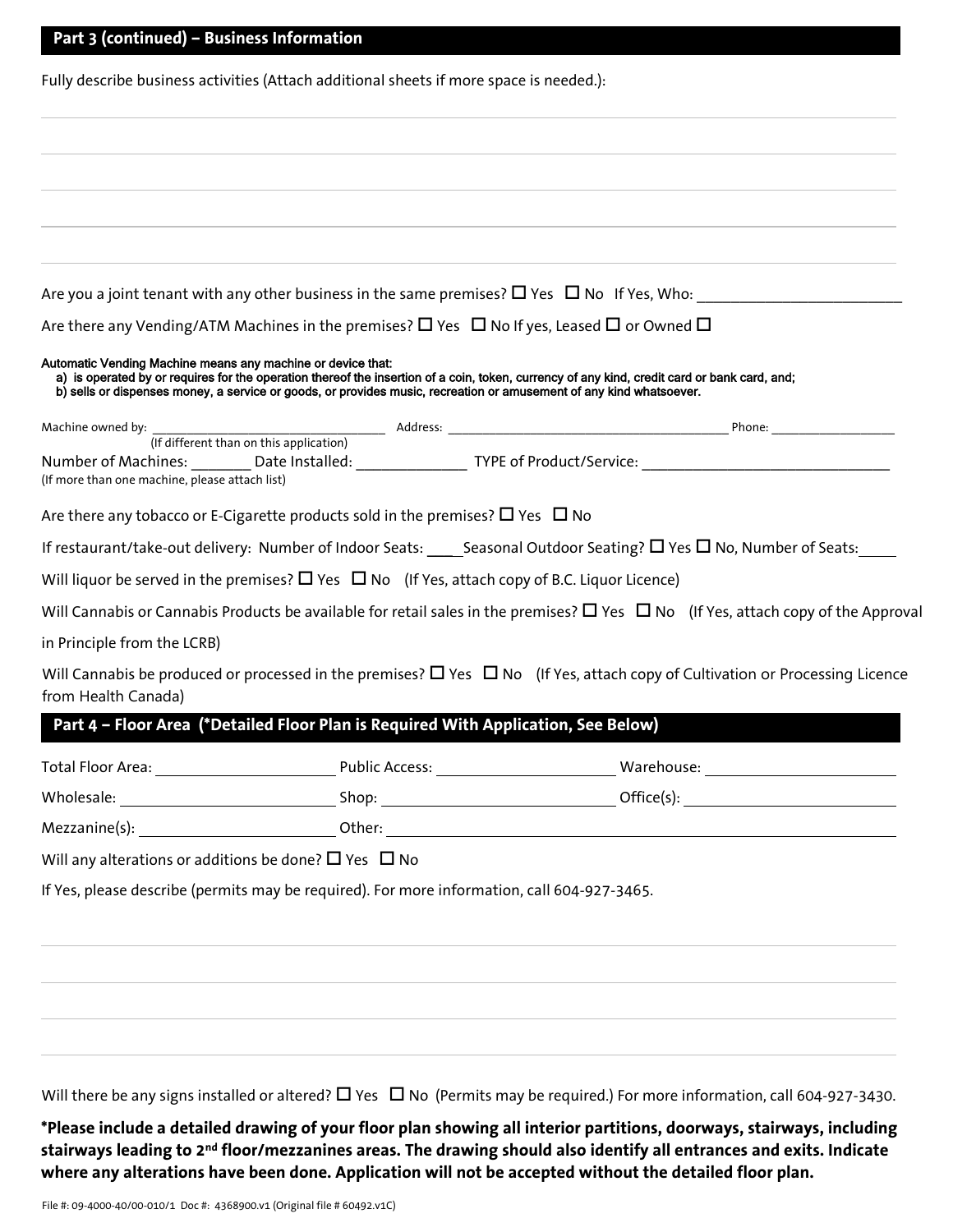|                                                                                    |                                                                                                                     | Are you a joint tenant with any other business in the same premises? $\square$ Yes $\square$ No If Yes, Who:                                 |
|------------------------------------------------------------------------------------|---------------------------------------------------------------------------------------------------------------------|----------------------------------------------------------------------------------------------------------------------------------------------|
|                                                                                    | Are there any Vending/ATM Machines in the premises? $\Box$ Yes $\Box$ No If yes, Leased $\Box$ or Owned $\Box$      |                                                                                                                                              |
| Automatic Vending Machine means any machine or device that:                        | b) sells or dispenses money, a service or goods, or provides music, recreation or amusement of any kind whatsoever. | a) is operated by or requires for the operation thereof the insertion of a coin, token, currency of any kind, credit card or bank card, and; |
|                                                                                    |                                                                                                                     |                                                                                                                                              |
|                                                                                    |                                                                                                                     |                                                                                                                                              |
| (If more than one machine, please attach list)                                     |                                                                                                                     |                                                                                                                                              |
|                                                                                    | Are there any tobacco or E-Cigarette products sold in the premises? $\Box$ Yes $\Box$ No                            |                                                                                                                                              |
|                                                                                    |                                                                                                                     | If restaurant/take-out delivery: Number of Indoor Seats: Seasonal Outdoor Seating? $\Box$ Yes $\Box$ No, Number of Seats:                    |
|                                                                                    | Will liquor be served in the premises? $\Box$ Yes $\Box$ No (If Yes, attach copy of B.C. Liquor Licence)            |                                                                                                                                              |
|                                                                                    |                                                                                                                     | Will Cannabis or Cannabis Products be available for retail sales in the premises? $\Box$ Yes $\Box$ No (If Yes, attach copy of the Approval  |
| in Principle from the LCRB)                                                        |                                                                                                                     |                                                                                                                                              |
| from Health Canada)                                                                |                                                                                                                     | Will Cannabis be produced or processed in the premises? $\Box$ Yes $\Box$ No (If Yes, attach copy of Cultivation or Processing Licence       |
|                                                                                    |                                                                                                                     |                                                                                                                                              |
| Part 4 - Floor Area (*Detailed Floor Plan is Required With Application, See Below) |                                                                                                                     |                                                                                                                                              |
|                                                                                    |                                                                                                                     |                                                                                                                                              |
|                                                                                    |                                                                                                                     |                                                                                                                                              |
|                                                                                    |                                                                                                                     |                                                                                                                                              |
|                                                                                    |                                                                                                                     |                                                                                                                                              |
|                                                                                    | If Yes, please describe (permits may be required). For more information, call 604-927-3465.                         |                                                                                                                                              |
|                                                                                    |                                                                                                                     |                                                                                                                                              |
| Will any alterations or additions be done? $\square$ Yes $\square$ No              |                                                                                                                     |                                                                                                                                              |
|                                                                                    |                                                                                                                     |                                                                                                                                              |

Will there be any signs installed or altered?  $\Box$  Yes  $\Box$  No (Permits may be required.) For more information, call 604-927-3430.

**\*Please include a detailed drawing of your floor plan showing all interior partitions, doorways, stairways, including stairways leading to 2nd floor/mezzanines areas. The drawing should also identify all entrances and exits. Indicate where any alterations have been done. Application will not be accepted without the detailed floor plan.**

**Part 3 (continued) – Business Information**